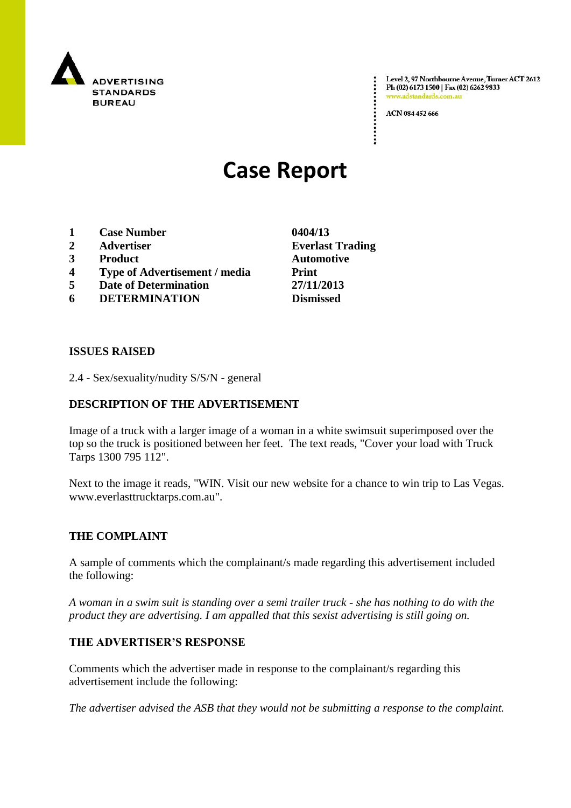

Level 2, 97 Northbourne Avenue, Turner ACT 2612 Ph (02) 6173 1500 | Fax (02) 6262 9833 v.adstandards.c

ACN 084 452 666

# **Case Report**

- **1 Case Number 0404/13**
- **2 Advertiser Everlast Trading**
- **3 Product Automotive**
- **4 Type of Advertisement / media Print**
- **5 Date of Determination 27/11/2013**
- **6 DETERMINATION Dismissed**

**ISSUES RAISED**

2.4 - Sex/sexuality/nudity S/S/N - general

## **DESCRIPTION OF THE ADVERTISEMENT**

Image of a truck with a larger image of a woman in a white swimsuit superimposed over the top so the truck is positioned between her feet. The text reads, "Cover your load with Truck Tarps 1300 795 112".

Next to the image it reads, "WIN. Visit our new website for a chance to win trip to Las Vegas. www.everlasttrucktarps.com.au".

### **THE COMPLAINT**

A sample of comments which the complainant/s made regarding this advertisement included the following:

*A woman in a swim suit is standing over a semi trailer truck - she has nothing to do with the product they are advertising. I am appalled that this sexist advertising is still going on.*

### **THE ADVERTISER'S RESPONSE**

Comments which the advertiser made in response to the complainant/s regarding this advertisement include the following:

*The advertiser advised the ASB that they would not be submitting a response to the complaint.*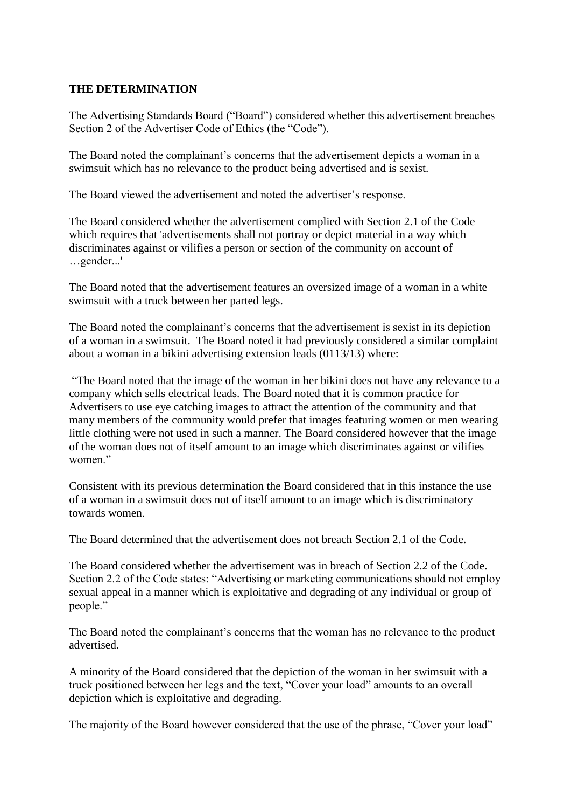### **THE DETERMINATION**

The Advertising Standards Board ("Board") considered whether this advertisement breaches Section 2 of the Advertiser Code of Ethics (the "Code").

The Board noted the complainant's concerns that the advertisement depicts a woman in a swimsuit which has no relevance to the product being advertised and is sexist.

The Board viewed the advertisement and noted the advertiser's response.

The Board considered whether the advertisement complied with Section 2.1 of the Code which requires that 'advertisements shall not portray or depict material in a way which discriminates against or vilifies a person or section of the community on account of …gender...'

The Board noted that the advertisement features an oversized image of a woman in a white swimsuit with a truck between her parted legs.

The Board noted the complainant's concerns that the advertisement is sexist in its depiction of a woman in a swimsuit. The Board noted it had previously considered a similar complaint about a woman in a bikini advertising extension leads (0113/13) where:

"The Board noted that the image of the woman in her bikini does not have any relevance to a company which sells electrical leads. The Board noted that it is common practice for Advertisers to use eye catching images to attract the attention of the community and that many members of the community would prefer that images featuring women or men wearing little clothing were not used in such a manner. The Board considered however that the image of the woman does not of itself amount to an image which discriminates against or vilifies women<sup>"</sup>

Consistent with its previous determination the Board considered that in this instance the use of a woman in a swimsuit does not of itself amount to an image which is discriminatory towards women.

The Board determined that the advertisement does not breach Section 2.1 of the Code.

The Board considered whether the advertisement was in breach of Section 2.2 of the Code. Section 2.2 of the Code states: "Advertising or marketing communications should not employ sexual appeal in a manner which is exploitative and degrading of any individual or group of people."

The Board noted the complainant's concerns that the woman has no relevance to the product advertised.

A minority of the Board considered that the depiction of the woman in her swimsuit with a truck positioned between her legs and the text, "Cover your load" amounts to an overall depiction which is exploitative and degrading.

The majority of the Board however considered that the use of the phrase, "Cover your load"